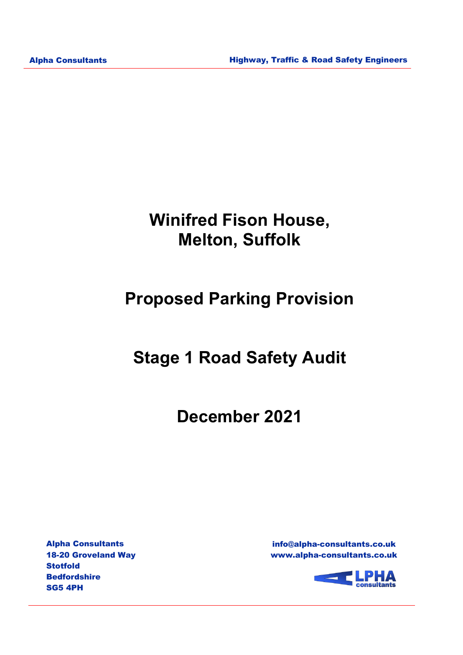# **Winifred Fison House, Melton, Suffolk**

# **Proposed Parking Provision**

# **Stage 1 Road Safety Audit**

**December 2021**

Alpha Consultants 18-20 Groveland Way Stotfold **Bedfordshire** SG5 4PH

info@alpha-consultants.co.uk www.alpha-consultants.co.uk

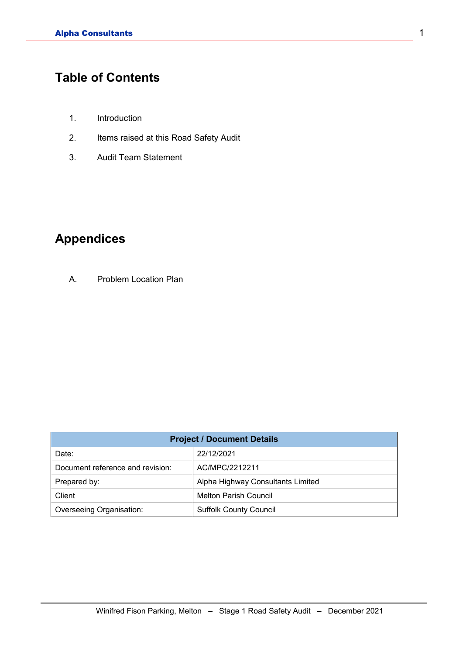## **Table of Contents**

- 1. Introduction
- 2. Items raised at this Road Safety Audit
- 3. Audit Team Statement

### **Appendices**

A. Problem Location Plan

| <b>Project / Document Details</b> |                                   |  |
|-----------------------------------|-----------------------------------|--|
| Date:                             | 22/12/2021                        |  |
| Document reference and revision:  | AC/MPC/2212211                    |  |
| Prepared by:                      | Alpha Highway Consultants Limited |  |
| Client                            | <b>Melton Parish Council</b>      |  |
| Overseeing Organisation:          | <b>Suffolk County Council</b>     |  |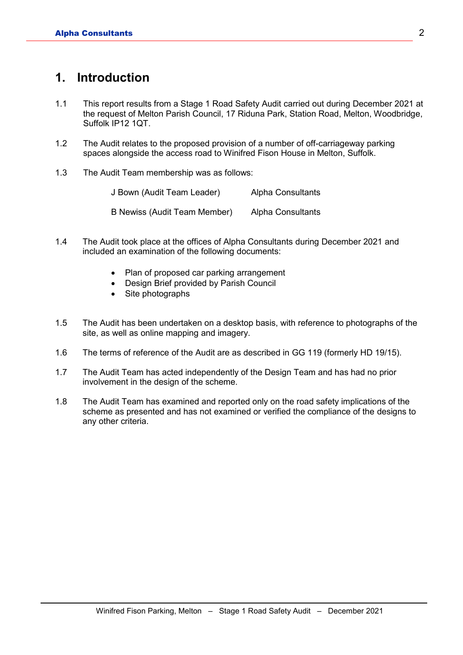### **1. Introduction**

- 1.1 This report results from a Stage 1 Road Safety Audit carried out during December 2021 at the request of Melton Parish Council, 17 Riduna Park, Station Road, Melton, Woodbridge, Suffolk IP12 1QT.
- 1.2 The Audit relates to the proposed provision of a number of off-carriageway parking spaces alongside the access road to Winifred Fison House in Melton, Suffolk.
- 1.3 The Audit Team membership was as follows:

| J Bown (Audit Team Leader)   | Alpha Consultants        |
|------------------------------|--------------------------|
| B Newiss (Audit Team Member) | <b>Alpha Consultants</b> |

- 1.4 The Audit took place at the offices of Alpha Consultants during December 2021 and included an examination of the following documents:
	- Plan of proposed car parking arrangement
	- Design Brief provided by Parish Council
	- Site photographs
- 1.5 The Audit has been undertaken on a desktop basis, with reference to photographs of the site, as well as online mapping and imagery.
- 1.6 The terms of reference of the Audit are as described in GG 119 (formerly HD 19/15).
- 1.7 The Audit Team has acted independently of the Design Team and has had no prior involvement in the design of the scheme.
- 1.8 The Audit Team has examined and reported only on the road safety implications of the scheme as presented and has not examined or verified the compliance of the designs to any other criteria.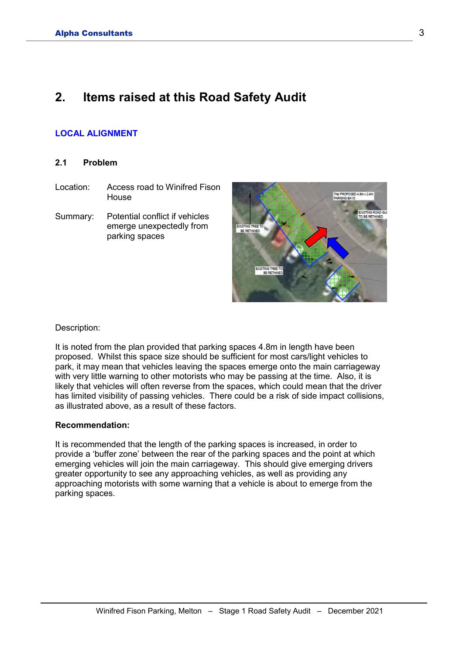### **2. Items raised at this Road Safety Audit**

#### **LOCAL ALIGNMENT**

#### **2.1 Problem**

- Location: Access road to Winifred Fison House
- Summary: Potential conflict if vehicles emerge unexpectedly from parking spaces



#### Description:

It is noted from the plan provided that parking spaces 4.8m in length have been proposed. Whilst this space size should be sufficient for most cars/light vehicles to park, it may mean that vehicles leaving the spaces emerge onto the main carriageway with very little warning to other motorists who may be passing at the time. Also, it is likely that vehicles will often reverse from the spaces, which could mean that the driver has limited visibility of passing vehicles. There could be a risk of side impact collisions, as illustrated above, as a result of these factors.

#### **Recommendation:**

It is recommended that the length of the parking spaces is increased, in order to provide a 'buffer zone' between the rear of the parking spaces and the point at which emerging vehicles will join the main carriageway. This should give emerging drivers greater opportunity to see any approaching vehicles, as well as providing any approaching motorists with some warning that a vehicle is about to emerge from the parking spaces.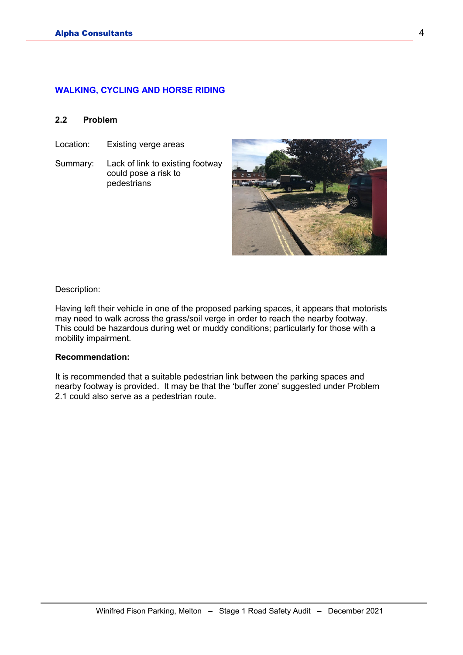#### **WALKING, CYCLING AND HORSE RIDING**

#### **2.2 Problem**

- Location: Existing verge areas
- Summary: Lack of link to existing footway could pose a risk to pedestrians



Description:

Having left their vehicle in one of the proposed parking spaces, it appears that motorists may need to walk across the grass/soil verge in order to reach the nearby footway. This could be hazardous during wet or muddy conditions; particularly for those with a mobility impairment.

#### **Recommendation:**

It is recommended that a suitable pedestrian link between the parking spaces and nearby footway is provided. It may be that the 'buffer zone' suggested under Problem 2.1 could also serve as a pedestrian route.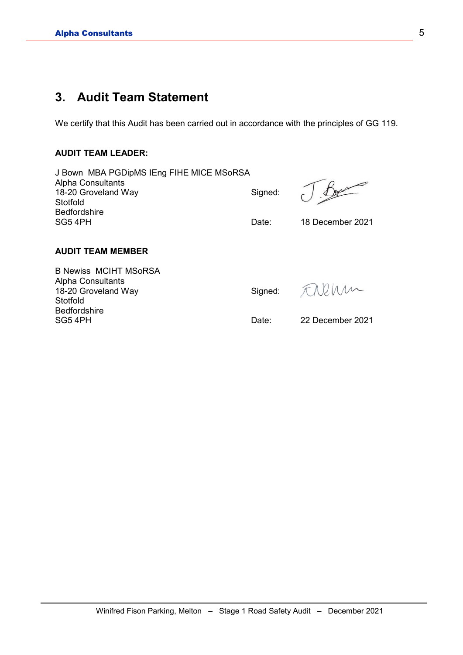### **3. Audit Team Statement**

We certify that this Audit has been carried out in accordance with the principles of GG 119.

#### **AUDIT TEAM LEADER:**

| J Bown MBA PGDipMS IEng FIHE MICE MSoRSA |         |                  |
|------------------------------------------|---------|------------------|
| <b>Alpha Consultants</b>                 |         |                  |
| 18-20 Groveland Way                      | Signed: |                  |
| Stotfold                                 |         |                  |
| <b>Bedfordshire</b>                      |         |                  |
| SG5 4PH                                  | Date:   | 18 December 2021 |
|                                          |         |                  |

#### **AUDIT TEAM MEMBER**

B Newiss MCIHT MSoRSA Alpha Consultants 18-20 Groveland Way Signed: Stotfold Bedfordshire<br>SG5 4PH

FREMM

Date: 22 December 2021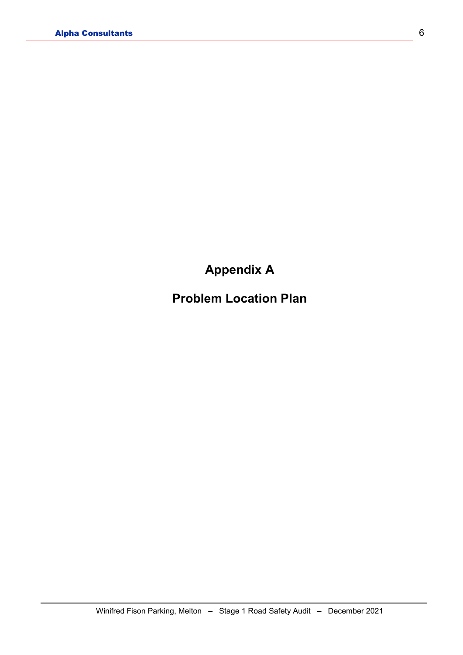## **Appendix A**

## **Problem Location Plan**